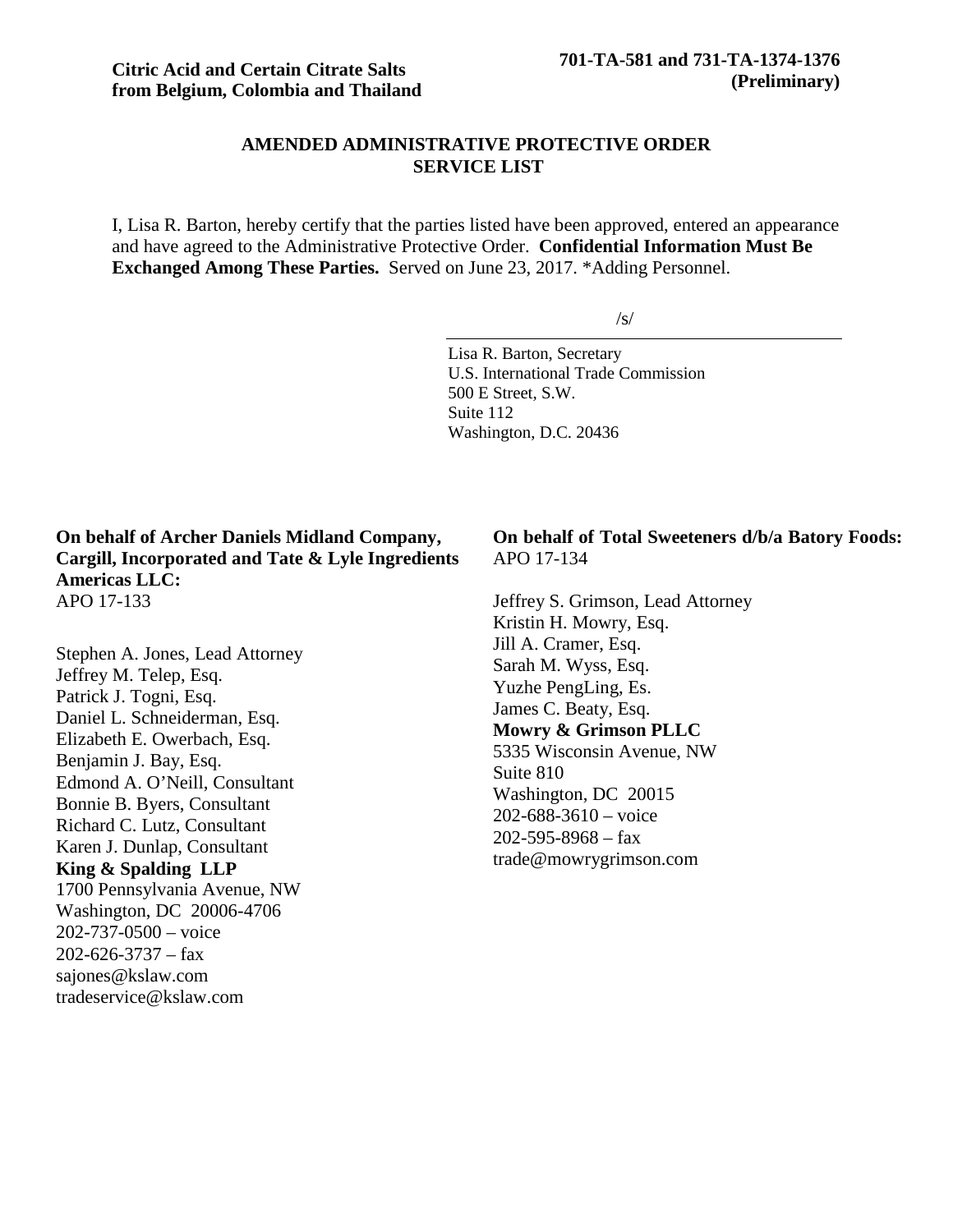# **AMENDED ADMINISTRATIVE PROTECTIVE ORDER SERVICE LIST**

I, Lisa R. Barton, hereby certify that the parties listed have been approved, entered an appearance and have agreed to the Administrative Protective Order. **Confidential Information Must Be Exchanged Among These Parties.** Served on June 23, 2017. \*Adding Personnel.

/s/

Lisa R. Barton, Secretary U.S. International Trade Commission 500 E Street, S.W. Suite 112 Washington, D.C. 20436

**On behalf of Archer Daniels Midland Company, Cargill, Incorporated and Tate & Lyle Ingredients Americas LLC:** APO 17-133

Stephen A. Jones, Lead Attorney Jeffrey M. Telep, Esq. Patrick J. Togni, Esq. Daniel L. Schneiderman, Esq. Elizabeth E. Owerbach, Esq. Benjamin J. Bay, Esq. Edmond A. O'Neill, Consultant Bonnie B. Byers, Consultant Richard C. Lutz, Consultant Karen J. Dunlap, Consultant **King & Spalding LLP** 1700 Pennsylvania Avenue, NW Washington, DC 20006-4706 202-737-0500 – voice  $202 - 626 - 3737 - fax$ sajones@kslaw.com tradeservice@kslaw.com

## **On behalf of Total Sweeteners d/b/a Batory Foods:** APO 17-134

Jeffrey S. Grimson, Lead Attorney Kristin H. Mowry, Esq. Jill A. Cramer, Esq. Sarah M. Wyss, Esq. Yuzhe PengLing, Es. James C. Beaty, Esq. **Mowry & Grimson PLLC** 5335 Wisconsin Avenue, NW Suite 810 Washington, DC 20015  $202 - 688 - 3610 - \text{voice}$  $202 - 595 - 8968 - fax$ trade@mowrygrimson.com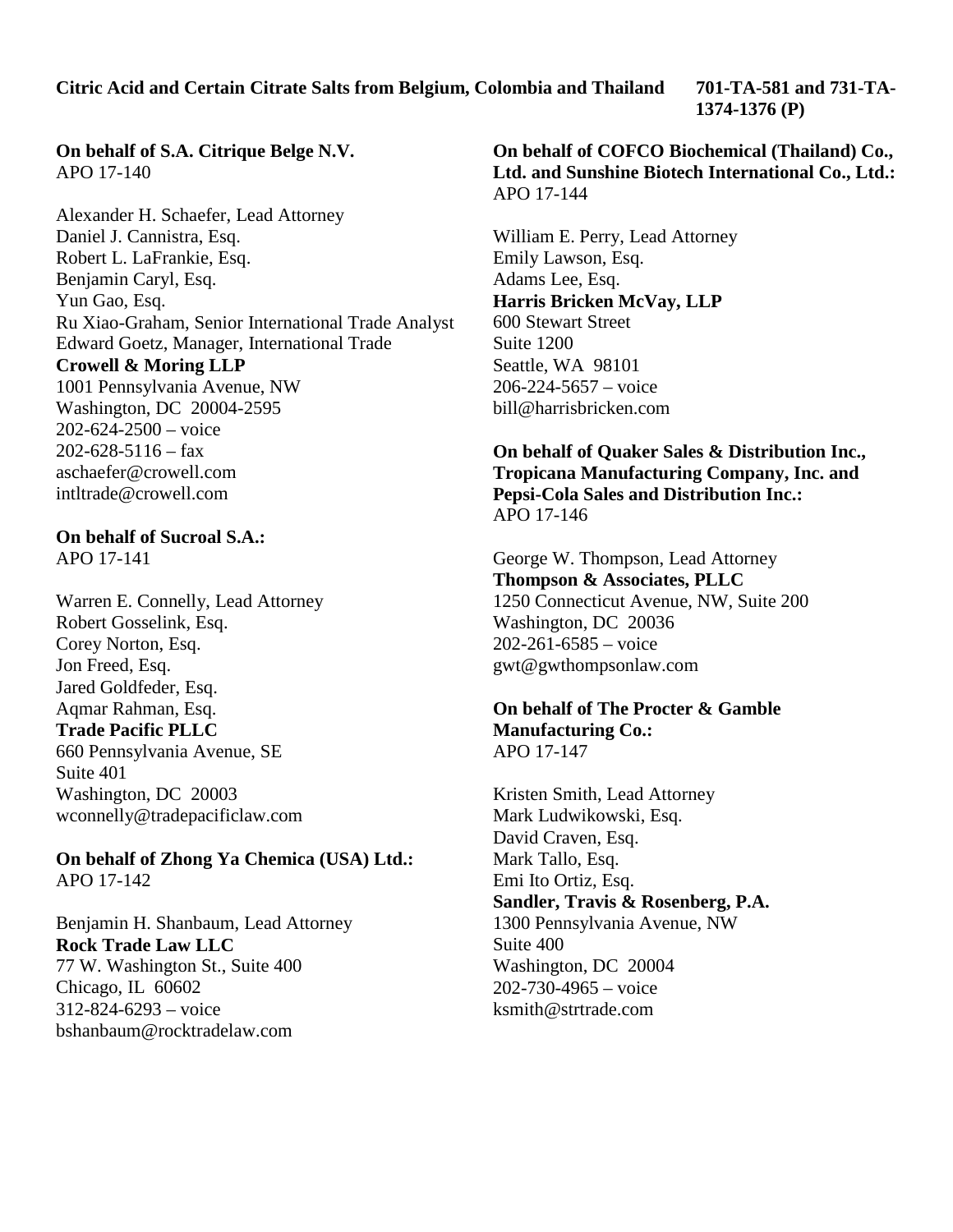**Citric Acid and Certain Citrate Salts from Belgium, Colombia and Thailand 701-TA-581 and 731-TA-**

**1374-1376 (P)**

# **On behalf of S.A. Citrique Belge N.V.** APO 17-140

Alexander H. Schaefer, Lead Attorney Daniel J. Cannistra, Esq. Robert L. LaFrankie, Esq. Benjamin Caryl, Esq. Yun Gao, Esq. Ru Xiao-Graham, Senior International Trade Analyst Edward Goetz, Manager, International Trade **Crowell & Moring LLP** 1001 Pennsylvania Avenue, NW Washington, DC 20004-2595  $202 - 624 - 2500 - \text{voice}$ 

 $202 - 628 - 5116 - \text{tax}$ aschaefer@crowell.com intltrade@crowell.com

### **On behalf of Sucroal S.A.:** APO 17-141

Warren E. Connelly, Lead Attorney Robert Gosselink, Esq. Corey Norton, Esq. Jon Freed, Esq. Jared Goldfeder, Esq. Aqmar Rahman, Esq. **Trade Pacific PLLC** 660 Pennsylvania Avenue, SE Suite 401 Washington, DC 20003 wconnelly@tradepacificlaw.com

**On behalf of Zhong Ya Chemica (USA) Ltd.:** APO 17-142

Benjamin H. Shanbaum, Lead Attorney **Rock Trade Law LLC** 77 W. Washington St., Suite 400 Chicago, IL 60602 312-824-6293 – voice bshanbaum@rocktradelaw.com

**On behalf of COFCO Biochemical (Thailand) Co., Ltd. and Sunshine Biotech International Co., Ltd.:** APO 17-144

William E. Perry, Lead Attorney Emily Lawson, Esq. Adams Lee, Esq. **Harris Bricken McVay, LLP** 600 Stewart Street Suite 1200 Seattle, WA 98101 206-224-5657 – voice bill@harrisbricken.com

**On behalf of Quaker Sales & Distribution Inc., Tropicana Manufacturing Company, Inc. and Pepsi-Cola Sales and Distribution Inc.:** APO 17-146

George W. Thompson, Lead Attorney **Thompson & Associates, PLLC** 1250 Connecticut Avenue, NW, Suite 200 Washington, DC 20036  $202 - 261 - 6585 -$  voice gwt@gwthompsonlaw.com

## **On behalf of The Procter & Gamble Manufacturing Co.:** APO 17-147

Kristen Smith, Lead Attorney Mark Ludwikowski, Esq. David Craven, Esq. Mark Tallo, Esq. Emi Ito Ortiz, Esq. **Sandler, Travis & Rosenberg, P.A.** 1300 Pennsylvania Avenue, NW Suite 400 Washington, DC 20004 202-730-4965 – voice ksmith@strtrade.com